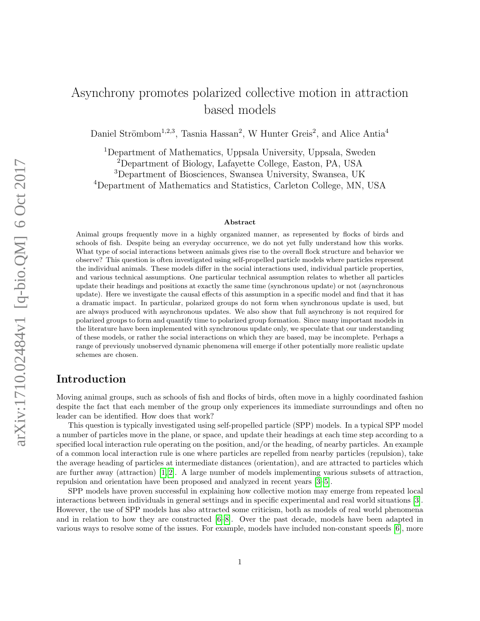# Asynchrony promotes polarized collective motion in attraction based models

Daniel Strömbom<sup>1,2,3</sup>, Tasnia Hassan<sup>2</sup>, W Hunter Greis<sup>2</sup>, and Alice Antia<sup>4</sup>

Department of Mathematics, Uppsala University, Uppsala, Sweden  $^{2}$ Department of Biology, Lafayette College, Easton, PA, USA Department of Biosciences, Swansea University, Swansea, UK Department of Mathematics and Statistics, Carleton College, MN, USA

#### Abstract

Animal groups frequently move in a highly organized manner, as represented by flocks of birds and schools of fish. Despite being an everyday occurrence, we do not yet fully understand how this works. What type of social interactions between animals gives rise to the overall flock structure and behavior we observe? This question is often investigated using self-propelled particle models where particles represent the individual animals. These models differ in the social interactions used, individual particle properties, and various technical assumptions. One particular technical assumption relates to whether all particles update their headings and positions at exactly the same time (synchronous update) or not (asynchronous update). Here we investigate the causal effects of this assumption in a specific model and find that it has a dramatic impact. In particular, polarized groups do not form when synchronous update is used, but are always produced with asynchronous updates. We also show that full asynchrony is not required for polarized groups to form and quantify time to polarized group formation. Since many important models in the literature have been implemented with synchronous update only, we speculate that our understanding of these models, or rather the social interactions on which they are based, may be incomplete. Perhaps a range of previously unobserved dynamic phenomena will emerge if other potentially more realistic update schemes are chosen.

### Introduction

Moving animal groups, such as schools of fish and flocks of birds, often move in a highly coordinated fashion despite the fact that each member of the group only experiences its immediate surroundings and often no leader can be identified. How does that work?

This question is typically investigated using self-propelled particle (SPP) models. In a typical SPP model a number of particles move in the plane, or space, and update their headings at each time step according to a specified local interaction rule operating on the position, and/or the heading, of nearby particles. An example of a common local interaction rule is one where particles are repelled from nearby particles (repulsion), take the average heading of particles at intermediate distances (orientation), and are attracted to particles which are further away (attraction)  $[1, 2]$  $[1, 2]$ . A large number of models implementing various subsets of attraction, repulsion and orientation have been proposed and analyzed in recent years [\[3–](#page-6-2)[5\]](#page-6-3).

SPP models have proven successful in explaining how collective motion may emerge from repeated local interactions between individuals in general settings and in specific experimental and real world situations [\[3\]](#page-6-2). However, the use of SPP models has also attracted some criticism, both as models of real world phenomena and in relation to how they are constructed [\[6–](#page-6-4)[8\]](#page-6-5). Over the past decade, models have been adapted in various ways to resolve some of the issues. For example, models have included non-constant speeds [\[6\]](#page-6-4), more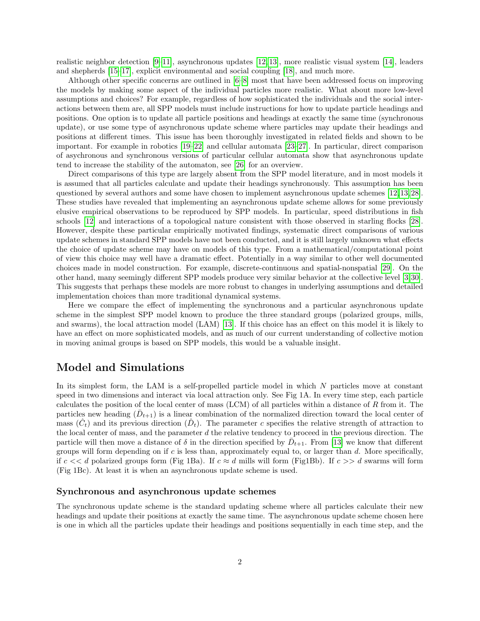realistic neighbor detection [\[9](#page-6-6)[–11\]](#page-6-7), asynchronous updates [\[12,](#page-6-8) [13\]](#page-6-9), more realistic visual system [\[14\]](#page-6-10), leaders and shepherds [\[15](#page-6-11)[–17\]](#page-7-0), explicit environmental and social coupling [\[18\]](#page-7-1), and much more.

Although other specific concerns are outlined in [\[6–](#page-6-4)[8\]](#page-6-5) most that have been addressed focus on improving the models by making some aspect of the individual particles more realistic. What about more low-level assumptions and choices? For example, regardless of how sophisticated the individuals and the social interactions between them are, all SPP models must include instructions for how to update particle headings and positions. One option is to update all particle positions and headings at exactly the same time (synchronous update), or use some type of asynchronous update scheme where particles may update their headings and positions at different times. This issue has been thoroughly investigated in related fields and shown to be important. For example in robotics [\[19–](#page-7-2)[22\]](#page-7-3) and cellular automata [\[23–](#page-7-4)[27\]](#page-7-5). In particular, direct comparison of asychronous and synchronous versions of particular cellular automata show that asynchronous update tend to increase the stability of the automaton, see [\[26\]](#page-7-6) for an overview.

Direct comparisons of this type are largely absent from the SPP model literature, and in most models it is assumed that all particles calculate and update their headings synchronously. This assumption has been questioned by several authors and some have chosen to implement asynchronous update schemes [\[12,](#page-6-8) [13,](#page-6-9) [28\]](#page-7-7). These studies have revealed that implementing an asynchronous update scheme allows for some previously elusive empirical observations to be reproduced by SPP models. In particular, speed distributions in fish schools [\[12\]](#page-6-8) and interactions of a topological nature consistent with those observed in starling flocks [\[28\]](#page-7-7). However, despite these particular empirically motivated findings, systematic direct comparisons of various update schemes in standard SPP models have not been conducted, and it is still largely unknown what effects the choice of update scheme may have on models of this type. From a mathematical/computational point of view this choice may well have a dramatic effect. Potentially in a way similar to other well documented choices made in model construction. For example, discrete-continuous and spatial-nonspatial [\[29\]](#page-7-8). On the other hand, many seemingly different SPP models produce very similar behavior at the collective level [\[3,](#page-6-2)[30\]](#page-7-9). This suggests that perhaps these models are more robust to changes in underlying assumptions and detailed implementation choices than more traditional dynamical systems.

Here we compare the effect of implementing the synchronous and a particular asynchronous update scheme in the simplest SPP model known to produce the three standard groups (polarized groups, mills, and swarms), the local attraction model (LAM) [\[13\]](#page-6-9). If this choice has an effect on this model it is likely to have an effect on more sophisticated models, and as much of our current understanding of collective motion in moving animal groups is based on SPP models, this would be a valuable insight.

## Model and Simulations

In its simplest form, the LAM is a self-propelled particle model in which  $N$  particles move at constant speed in two dimensions and interact via local attraction only. See Fig 1A. In every time step, each particle calculates the position of the local center of mass (LCM) of all particles within a distance of R from it. The particles new heading  $(\bar{D}_{t+1})$  is a linear combination of the normalized direction toward the local center of mass  $(\hat{C}_t)$  and its previous direction  $(\hat{D}_t)$ . The parameter c specifies the relative strength of attraction to the local center of mass, and the parameter  $d$  the relative tendency to proceed in the previous direction. The particle will then move a distance of  $\delta$  in the direction specified by  $\overline{D}_{t+1}$ . From [\[13\]](#page-6-9) we know that different groups will form depending on if  $c$  is less than, approximately equal to, or larger than  $d$ . More specifically, if  $c \ll d$  polarized groups form (Fig 1Ba). If  $c \approx d$  mills will form (Fig1Bb). If  $c \gg d$  swarms will form (Fig 1Bc). At least it is when an asynchronous update scheme is used.

#### Synchronous and asynchronous update schemes

The synchronous update scheme is the standard updating scheme where all particles calculate their new headings and update their positions at exactly the same time. The asynchronous update scheme chosen here is one in which all the particles update their headings and positions sequentially in each time step, and the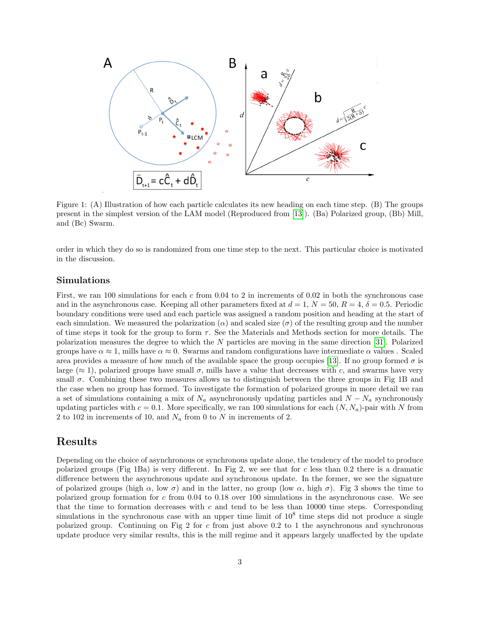

Figure 1: (A) Illustration of how each particle calculates its new heading on each time step. (B) The groups present in the simplest version of the LAM model (Reproduced from [\[13\]](#page-6-9)). (Ba) Polarized group, (Bb) Mill, and (Bc) Swarm.

order in which they do so is randomized from one time step to the next. This particular choice is motivated in the discussion.

#### Simulations

First, we ran 100 simulations for each c from 0.04 to 2 in increments of 0.02 in both the synchronous case and in the asynchronous case. Keeping all other parameters fixed at  $d = 1$ ,  $N = 50$ ,  $R = 4$ ,  $\delta = 0.5$ . Periodic boundary conditions were used and each particle was assigned a random position and heading at the start of each simulation. We measured the polarization ( $\alpha$ ) and scaled size ( $\sigma$ ) of the resulting group and the number of time steps it took for the group to form  $\tau$ . See the Materials and Methods section for more details. The polarization measures the degree to which the N particles are moving in the same direction [\[31\]](#page-7-10). Polarized groups have  $\alpha \approx 1$ , mills have  $\alpha \approx 0$ . Swarms and random configurations have intermediate  $\alpha$  values. Scaled area provides a measure of how much of the available space the group occupies [\[13\]](#page-6-9). If no group formed  $\sigma$  is large ( $\approx$  1), polarized groups have small  $\sigma$ , mills have a value that decreases with c, and swarms have very small  $\sigma$ . Combining these two measures allows us to distinguish between the three groups in Fig 1B and the case when no group has formed. To investigate the formation of polarized groups in more detail we ran a set of simulations containing a mix of  $N_a$  asynchronously updating particles and  $N - N_a$  synchronously updating particles with  $c = 0.1$ . More specifically, we ran 100 simulations for each  $(N, N_a)$ -pair with N from 2 to 102 in increments of 10, and  $N_a$  from 0 to N in increments of 2.

### Results

Depending on the choice of asynchronous or synchronous update alone, the tendency of the model to produce polarized groups (Fig 1Ba) is very different. In Fig 2, we see that for c less than 0.2 there is a dramatic difference between the asynchronous update and synchronous update. In the former, we see the signature of polarized groups (high  $\alpha$ , low  $\sigma$ ) and in the latter, no group (low  $\alpha$ , high  $\sigma$ ). Fig 3 shows the time to polarized group formation for c from 0.04 to 0.18 over 100 simulations in the asynchronous case. We see that the time to formation decreases with c and tend to be less than  $10000$  time steps. Corresponding simulations in the synchronous case with an upper time limit of  $10<sup>8</sup>$  time steps did not produce a single polarized group. Continuing on Fig 2 for  $c$  from just above 0.2 to 1 the asynchronous and synchronous update produce very similar results, this is the mill regime and it appears largely unaffected by the update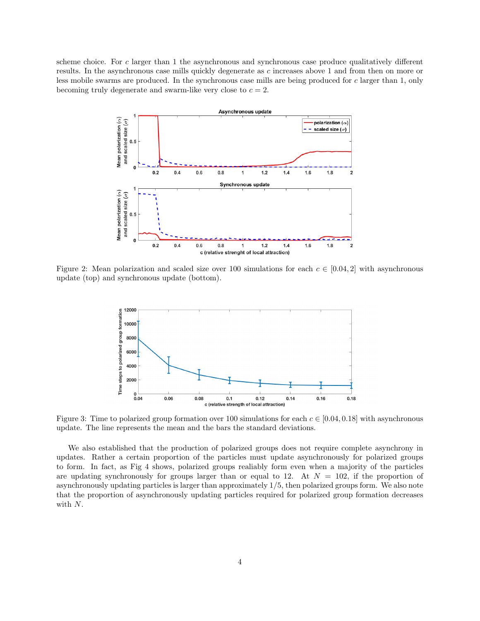scheme choice. For c larger than 1 the asynchronous and synchronous case produce qualitatively different results. In the asynchronous case mills quickly degenerate as c increases above 1 and from then on more or less mobile swarms are produced. In the synchronous case mills are being produced for c larger than 1, only becoming truly degenerate and swarm-like very close to  $c = 2$ .



Figure 2: Mean polarization and scaled size over 100 simulations for each  $c \in [0.04, 2]$  with asynchronous update (top) and synchronous update (bottom).



Figure 3: Time to polarized group formation over 100 simulations for each  $c \in [0.04, 0.18]$  with asynchronous update. The line represents the mean and the bars the standard deviations.

We also established that the production of polarized groups does not require complete asynchrony in updates. Rather a certain proportion of the particles must update asynchronously for polarized groups to form. In fact, as Fig 4 shows, polarized groups realiably form even when a majority of the particles are updating synchronously for groups larger than or equal to 12. At  $N = 102$ , if the proportion of asynchronously updating particles is larger than approximately 1/5, then polarized groups form. We also note that the proportion of asynchronously updating particles required for polarized group formation decreases with N.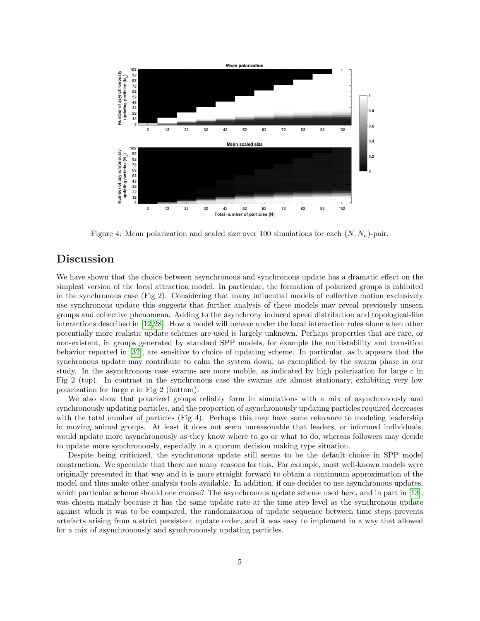

Figure 4: Mean polarization and scaled size over 100 simulations for each  $(N, N_a)$ -pair.

## Discussion

We have shown that the choice between asynchronous and synchronous update has a dramatic effect on the simplest version of the local attraction model. In particular, the formation of polarized groups is inhibited in the synchronous case (Fig 2). Considering that many influential models of collective motion exclusively use synchronous update this suggests that further analysis of these models may reveal previously unseen groups and collective phenomena. Adding to the asynchrony induced speed distribution and topological-like interactions described in [\[12,](#page-6-8)[28\]](#page-7-7). How a model will behave under the local interaction rules alone when other potentially more realistic update schemes are used is largely unknown. Perhaps properties that are rare, or non-existent, in groups generated by standard SPP models, for example the multistability and transition behavior reported in [\[32\]](#page-7-11), are sensitive to choice of updating scheme. In particular, as it appears that the synchronous update may contribute to calm the system down, as exemplified by the swarm phase in our study. In the asynchronous case swarms are more mobile, as indicated by high polarization for large  $c$  in Fig 2 (top). In contrast in the synchronous case the swarms are almost stationary, exhibiting very low polarization for large  $c$  in Fig 2 (bottom).

We also show that polarized groups reliably form in simulations with a mix of asynchronously and synchronously updating particles, and the proportion of asynchronously updating particles required decreases with the total number of particles (Fig 4). Perhaps this may have some relevance to modeling leadership in moving animal groups. At least it does not seem unreasonable that leaders, or informed individuals, would update more asynchronously as they know where to go or what to do, whereas followers may decide to update more synchronously, especially in a quorum decision making type situation.

Despite being criticized, the synchronous update still seems to be the default choice in SPP model construction. We speculate that there are many reasons for this. For example, most well-known models were originally presented in that way and it is more straight forward to obtain a continuum approximation of the model and thus make other analysis tools available. In addition, if one decides to use asynchronous updates, which particular scheme should one choose? The asynchronous update scheme used here, and in part in [\[13\]](#page-6-9), was chosen mainly because it has the same update rate at the time step level as the synchronous update against which it was to be compared, the randomization of update sequence between time steps prevents artefacts arising from a strict persistent update order, and it was easy to implement in a way that allowed for a mix of asynchronously and synchronously updating particles.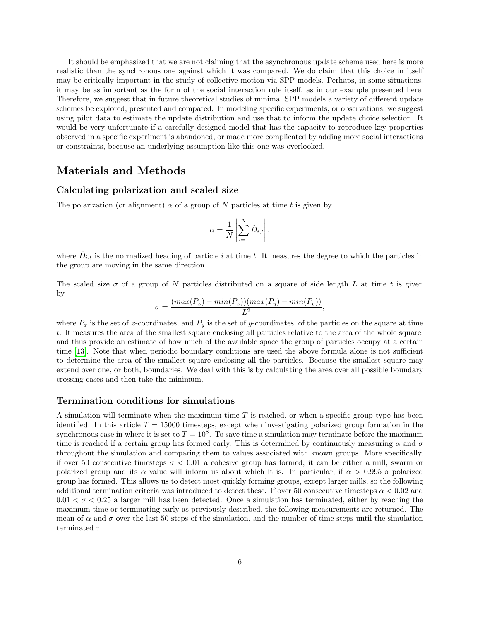It should be emphasized that we are not claiming that the asynchronous update scheme used here is more realistic than the synchronous one against which it was compared. We do claim that this choice in itself may be critically important in the study of collective motion via SPP models. Perhaps, in some situations, it may be as important as the form of the social interaction rule itself, as in our example presented here. Therefore, we suggest that in future theoretical studies of minimal SPP models a variety of different update schemes be explored, presented and compared. In modeling specific experiments, or observations, we suggest using pilot data to estimate the update distribution and use that to inform the update choice selection. It would be very unfortunate if a carefully designed model that has the capacity to reproduce key properties observed in a specific experiment is abandoned, or made more complicated by adding more social interactions or constraints, because an underlying assumption like this one was overlooked.

#### Materials and Methods

#### Calculating polarization and scaled size

The polarization (or alignment)  $\alpha$  of a group of N particles at time t is given by

$$
\alpha = \frac{1}{N} \left| \sum_{i=1}^{N} \hat{D}_{i,t} \right|,
$$

where  $\hat{D}_{i,t}$  is the normalized heading of particle i at time t. It measures the degree to which the particles in the group are moving in the same direction.

The scaled size  $\sigma$  of a group of N particles distributed on a square of side length L at time t is given by

$$
\sigma = \frac{(max(P_x) - min(P_x))(max(P_y) - min(P_y))}{L^2},
$$

where  $P_x$  is the set of x-coordinates, and  $P_y$  is the set of y-coordinates, of the particles on the square at time t. It measures the area of the smallest square enclosing all particles relative to the area of the whole square, and thus provide an estimate of how much of the available space the group of particles occupy at a certain time [\[13\]](#page-6-9). Note that when periodic boundary conditions are used the above formula alone is not sufficient to determine the area of the smallest square enclosing all the particles. Because the smallest square may extend over one, or both, boundaries. We deal with this is by calculating the area over all possible boundary crossing cases and then take the minimum.

#### Termination conditions for simulations

A simulation will terminate when the maximum time T is reached, or when a specific group type has been identified. In this article  $T = 15000$  timesteps, except when investigating polarized group formation in the synchronous case in where it is set to  $T = 10^8$ . To save time a simulation may terminate before the maximum time is reached if a certain group has formed early. This is determined by continuously measuring  $\alpha$  and  $\sigma$ throughout the simulation and comparing them to values associated with known groups. More specifically, if over 50 consecutive timesteps  $\sigma < 0.01$  a cohesive group has formed, it can be either a mill, swarm or polarized group and its  $\alpha$  value will inform us about which it is. In particular, if  $\alpha > 0.995$  a polarized group has formed. This allows us to detect most quickly forming groups, except larger mills, so the following additional termination criteria was introduced to detect these. If over 50 consecutive timesteps  $\alpha < 0.02$  and  $0.01 < \sigma < 0.25$  a larger mill has been detected. Once a simulation has terminated, either by reaching the maximum time or terminating early as previously described, the following measurements are returned. The mean of  $\alpha$  and  $\sigma$  over the last 50 steps of the simulation, and the number of time steps until the simulation terminated  $\tau$ .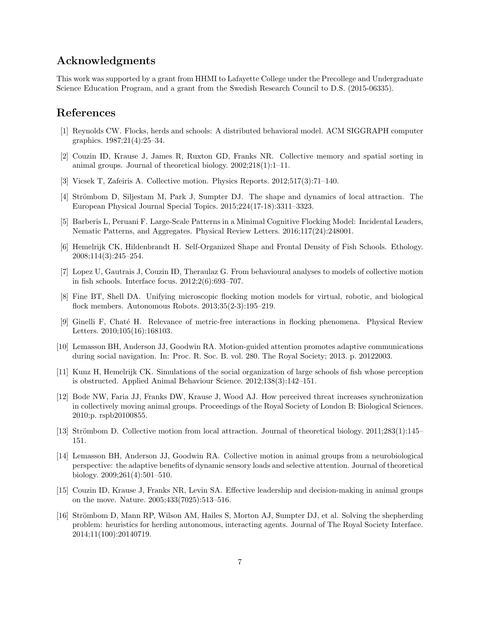### Acknowledgments

This work was supported by a grant from HHMI to Lafayette College under the Precollege and Undergraduate Science Education Program, and a grant from the Swedish Research Council to D.S. (2015-06335).

### References

- <span id="page-6-0"></span>[1] Reynolds CW. Flocks, herds and schools: A distributed behavioral model. ACM SIGGRAPH computer graphics. 1987;21(4):25–34.
- <span id="page-6-1"></span>[2] Couzin ID, Krause J, James R, Ruxton GD, Franks NR. Collective memory and spatial sorting in animal groups. Journal of theoretical biology. 2002;218(1):1–11.
- <span id="page-6-2"></span>[3] Vicsek T, Zafeiris A. Collective motion. Physics Reports. 2012;517(3):71–140.
- [4] Strömbom D, Siljestam M, Park J, Sumpter DJ. The shape and dynamics of local attraction. The European Physical Journal Special Topics. 2015;224(17-18):3311–3323.
- <span id="page-6-3"></span>[5] Barberis L, Peruani F. Large-Scale Patterns in a Minimal Cognitive Flocking Model: Incidental Leaders, Nematic Patterns, and Aggregates. Physical Review Letters. 2016;117(24):248001.
- <span id="page-6-4"></span>[6] Hemelrijk CK, Hildenbrandt H. Self-Organized Shape and Frontal Density of Fish Schools. Ethology. 2008;114(3):245–254.
- [7] Lopez U, Gautrais J, Couzin ID, Theraulaz G. From behavioural analyses to models of collective motion in fish schools. Interface focus. 2012;2(6):693–707.
- <span id="page-6-5"></span>[8] Fine BT, Shell DA. Unifying microscopic flocking motion models for virtual, robotic, and biological flock members. Autonomous Robots. 2013;35(2-3):195–219.
- <span id="page-6-6"></span>[9] Ginelli F, Chat´e H. Relevance of metric-free interactions in flocking phenomena. Physical Review Letters. 2010;105(16):168103.
- [10] Lemasson BH, Anderson JJ, Goodwin RA. Motion-guided attention promotes adaptive communications during social navigation. In: Proc. R. Soc. B. vol. 280. The Royal Society; 2013. p. 20122003.
- <span id="page-6-7"></span>[11] Kunz H, Hemelrijk CK. Simulations of the social organization of large schools of fish whose perception is obstructed. Applied Animal Behaviour Science. 2012;138(3):142–151.
- <span id="page-6-8"></span>[12] Bode NW, Faria JJ, Franks DW, Krause J, Wood AJ. How perceived threat increases synchronization in collectively moving animal groups. Proceedings of the Royal Society of London B: Biological Sciences. 2010;p. rspb20100855.
- <span id="page-6-9"></span>[13] Strömbom D. Collective motion from local attraction. Journal of theoretical biology.  $2011;283(1):145-$ 151.
- <span id="page-6-10"></span>[14] Lemasson BH, Anderson JJ, Goodwin RA. Collective motion in animal groups from a neurobiological perspective: the adaptive benefits of dynamic sensory loads and selective attention. Journal of theoretical biology. 2009;261(4):501–510.
- <span id="page-6-11"></span>[15] Couzin ID, Krause J, Franks NR, Levin SA. Effective leadership and decision-making in animal groups on the move. Nature. 2005;433(7025):513–516.
- [16] Strömbom D, Mann RP, Wilson AM, Hailes S, Morton AJ, Sumpter DJ, et al. Solving the shepherding problem: heuristics for herding autonomous, interacting agents. Journal of The Royal Society Interface. 2014;11(100):20140719.